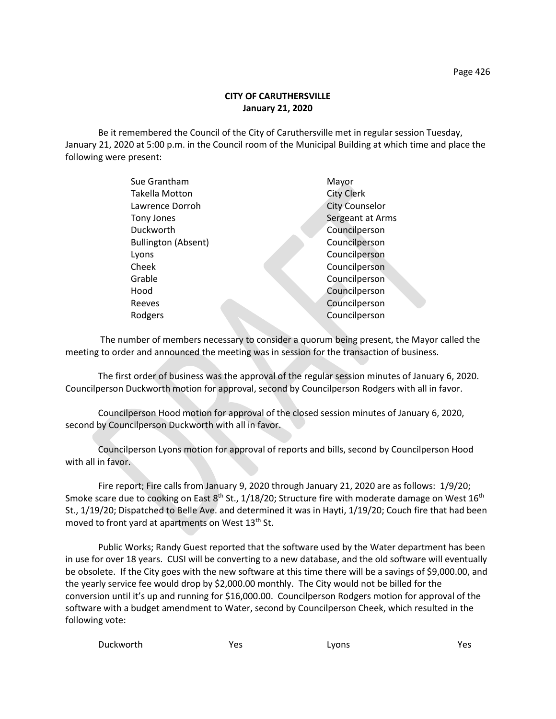## **CITY OF CARUTHERSVILLE January 21, 2020**

Be it remembered the Council of the City of Caruthersville met in regular session Tuesday, January 21, 2020 at 5:00 p.m. in the Council room of the Municipal Building at which time and place the following were present:

| Sue Grantham               | Mayor                 |
|----------------------------|-----------------------|
| Takella Motton             | <b>City Clerk</b>     |
| Lawrence Dorroh            | <b>City Counselor</b> |
| Tony Jones                 | Sergeant at Arms      |
| Duckworth                  | Councilperson         |
| <b>Bullington (Absent)</b> | Councilperson         |
| Lyons                      | Councilperson         |
| Cheek                      | Councilperson         |
| Grable                     | Councilperson         |
| Hood                       | Councilperson         |
| Reeves                     | Councilperson         |
| Rodgers                    | Councilperson         |
|                            |                       |

 The number of members necessary to consider a quorum being present, the Mayor called the meeting to order and announced the meeting was in session for the transaction of business.

The first order of business was the approval of the regular session minutes of January 6, 2020. Councilperson Duckworth motion for approval, second by Councilperson Rodgers with all in favor.

Councilperson Hood motion for approval of the closed session minutes of January 6, 2020, second by Councilperson Duckworth with all in favor.

Councilperson Lyons motion for approval of reports and bills, second by Councilperson Hood with all in favor.

Fire report; Fire calls from January 9, 2020 through January 21, 2020 are as follows: 1/9/20; Smoke scare due to cooking on East 8<sup>th</sup> St., 1/18/20; Structure fire with moderate damage on West 16<sup>th</sup> St., 1/19/20; Dispatched to Belle Ave. and determined it was in Hayti, 1/19/20; Couch fire that had been moved to front yard at apartments on West 13<sup>th</sup> St.

Public Works; Randy Guest reported that the software used by the Water department has been in use for over 18 years. CUSI will be converting to a new database, and the old software will eventually be obsolete. If the City goes with the new software at this time there will be a savings of \$9,000.00, and the yearly service fee would drop by \$2,000.00 monthly. The City would not be billed for the conversion until it's up and running for \$16,000.00. Councilperson Rodgers motion for approval of the software with a budget amendment to Water, second by Councilperson Cheek, which resulted in the following vote:

Duckworth Yes Lyons Yes